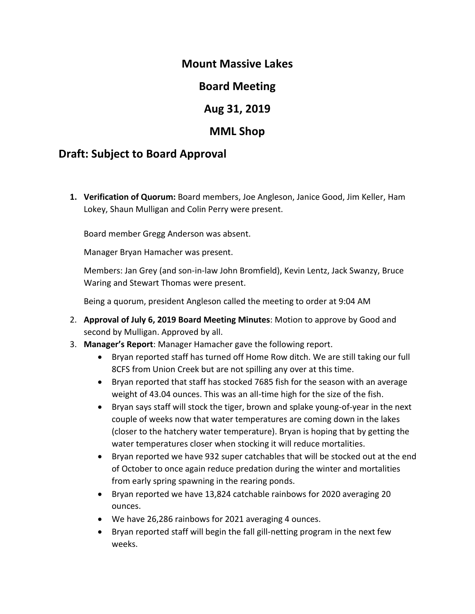## **Mount Massive Lakes**

# **Board Meeting**

# **Aug 31, 2019**

## **MML Shop**

## **Draft: Subject to Board Approval**

**1. Verification of Quorum:** Board members, Joe Angleson, Janice Good, Jim Keller, Ham Lokey, Shaun Mulligan and Colin Perry were present.

Board member Gregg Anderson was absent.

Manager Bryan Hamacher was present.

Members: Jan Grey (and son-in-law John Bromfield), Kevin Lentz, Jack Swanzy, Bruce Waring and Stewart Thomas were present.

Being a quorum, president Angleson called the meeting to order at 9:04 AM

- 2. **Approval of July 6, 2019 Board Meeting Minutes**: Motion to approve by Good and second by Mulligan. Approved by all.
- 3. **Manager's Report**: Manager Hamacher gave the following report.
	- Bryan reported staff has turned off Home Row ditch. We are still taking our full 8CFS from Union Creek but are not spilling any over at this time.
	- Bryan reported that staff has stocked 7685 fish for the season with an average weight of 43.04 ounces. This was an all-time high for the size of the fish.
	- Bryan says staff will stock the tiger, brown and splake young-of-year in the next couple of weeks now that water temperatures are coming down in the lakes (closer to the hatchery water temperature). Bryan is hoping that by getting the water temperatures closer when stocking it will reduce mortalities.
	- Bryan reported we have 932 super catchables that will be stocked out at the end of October to once again reduce predation during the winter and mortalities from early spring spawning in the rearing ponds.
	- Bryan reported we have 13,824 catchable rainbows for 2020 averaging 20 ounces.
	- We have 26,286 rainbows for 2021 averaging 4 ounces.
	- Bryan reported staff will begin the fall gill-netting program in the next few weeks.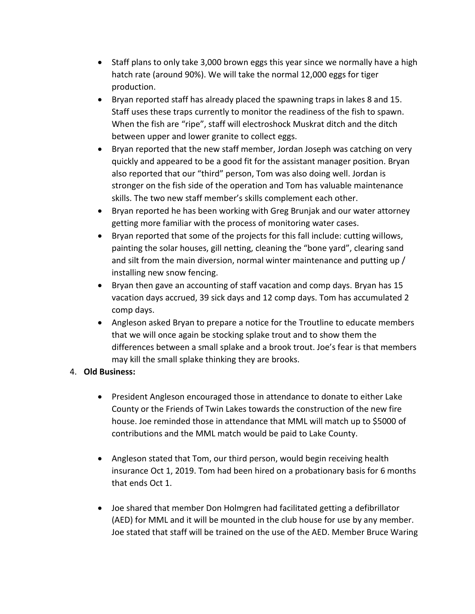- Staff plans to only take 3,000 brown eggs this year since we normally have a high hatch rate (around 90%). We will take the normal 12,000 eggs for tiger production.
- Bryan reported staff has already placed the spawning traps in lakes 8 and 15. Staff uses these traps currently to monitor the readiness of the fish to spawn. When the fish are "ripe", staff will electroshock Muskrat ditch and the ditch between upper and lower granite to collect eggs.
- Bryan reported that the new staff member, Jordan Joseph was catching on very quickly and appeared to be a good fit for the assistant manager position. Bryan also reported that our "third" person, Tom was also doing well. Jordan is stronger on the fish side of the operation and Tom has valuable maintenance skills. The two new staff member's skills complement each other.
- Bryan reported he has been working with Greg Brunjak and our water attorney getting more familiar with the process of monitoring water cases.
- Bryan reported that some of the projects for this fall include: cutting willows, painting the solar houses, gill netting, cleaning the "bone yard", clearing sand and silt from the main diversion, normal winter maintenance and putting up / installing new snow fencing.
- Bryan then gave an accounting of staff vacation and comp days. Bryan has 15 vacation days accrued, 39 sick days and 12 comp days. Tom has accumulated 2 comp days.
- Angleson asked Bryan to prepare a notice for the Troutline to educate members that we will once again be stocking splake trout and to show them the differences between a small splake and a brook trout. Joe's fear is that members may kill the small splake thinking they are brooks.

#### 4. **Old Business:**

- President Angleson encouraged those in attendance to donate to either Lake County or the Friends of Twin Lakes towards the construction of the new fire house. Joe reminded those in attendance that MML will match up to \$5000 of contributions and the MML match would be paid to Lake County.
- Angleson stated that Tom, our third person, would begin receiving health insurance Oct 1, 2019. Tom had been hired on a probationary basis for 6 months that ends Oct 1.
- Joe shared that member Don Holmgren had facilitated getting a defibrillator (AED) for MML and it will be mounted in the club house for use by any member. Joe stated that staff will be trained on the use of the AED. Member Bruce Waring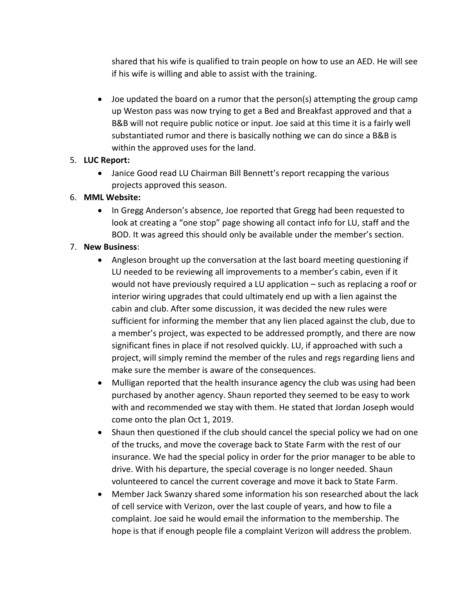shared that his wife is qualified to train people on how to use an AED. He will see if his wife is willing and able to assist with the training.

• Joe updated the board on a rumor that the person(s) attempting the group camp up Weston pass was now trying to get a Bed and Breakfast approved and that a B&B will not require public notice or input. Joe said at this time it is a fairly well substantiated rumor and there is basically nothing we can do since a B&B is within the approved uses for the land.

#### 5. **LUC Report:**

• Janice Good read LU Chairman Bill Bennett's report recapping the various projects approved this season.

### 6. **MML Website:**

• In Gregg Anderson's absence, Joe reported that Gregg had been requested to look at creating a "one stop" page showing all contact info for LU, staff and the BOD. It was agreed this should only be available under the member's section.

### 7. **New Business**:

- Angleson brought up the conversation at the last board meeting questioning if LU needed to be reviewing all improvements to a member's cabin, even if it would not have previously required a LU application – such as replacing a roof or interior wiring upgrades that could ultimately end up with a lien against the cabin and club. After some discussion, it was decided the new rules were sufficient for informing the member that any lien placed against the club, due to a member's project, was expected to be addressed promptly, and there are now significant fines in place if not resolved quickly. LU, if approached with such a project, will simply remind the member of the rules and regs regarding liens and make sure the member is aware of the consequences.
- Mulligan reported that the health insurance agency the club was using had been purchased by another agency. Shaun reported they seemed to be easy to work with and recommended we stay with them. He stated that Jordan Joseph would come onto the plan Oct 1, 2019.
- Shaun then questioned if the club should cancel the special policy we had on one of the trucks, and move the coverage back to State Farm with the rest of our insurance. We had the special policy in order for the prior manager to be able to drive. With his departure, the special coverage is no longer needed. Shaun volunteered to cancel the current coverage and move it back to State Farm.
- Member Jack Swanzy shared some information his son researched about the lack of cell service with Verizon, over the last couple of years, and how to file a complaint. Joe said he would email the information to the membership. The hope is that if enough people file a complaint Verizon will address the problem.